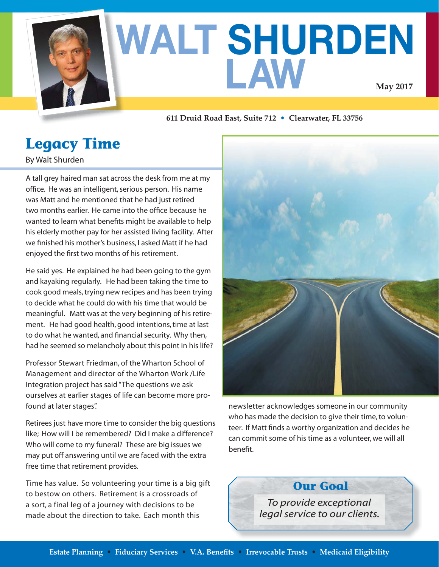

# **WALT SHURDEN LAW May 2017**

#### **611 Druid Road East, Suite 712 • Clearwater, FL 33756**

## **Legacy Time**

By Walt Shurden

A tall grey haired man sat across the desk from me at my office. He was an intelligent, serious person. His name was Matt and he mentioned that he had just retired two months earlier. He came into the office because he wanted to learn what benefits might be available to help his elderly mother pay for her assisted living facility. After we finished his mother's business, I asked Matt if he had enjoyed the first two months of his retirement.

He said yes. He explained he had been going to the gym and kayaking regularly. He had been taking the time to cook good meals, trying new recipes and has been trying to decide what he could do with his time that would be meaningful. Matt was at the very beginning of his retirement. He had good health, good intentions, time at last to do what he wanted, and financial security. Why then, had he seemed so melancholy about this point in his life?

Professor Stewart Friedman, of the Wharton School of Management and director of the Wharton Work /Life Integration project has said "The questions we ask ourselves at earlier stages of life can become more profound at later stages".

Retirees just have more time to consider the big questions like; How will I be remembered? Did I make a difference? Who will come to my funeral? These are big issues we may put off answering until we are faced with the extra free time that retirement provides.

Time has value. So volunteering your time is a big gift to bestow on others. Retirement is a crossroads of a sort, a final leg of a journey with decisions to be made about the direction to take. Each month this



newsletter acknowledges someone in our community who has made the decision to give their time, to volunteer. If Matt finds a worthy organization and decides he can commit some of his time as a volunteer, we will all benefit.

**Our Goal**

*To provide exceptional legal service to our clients.*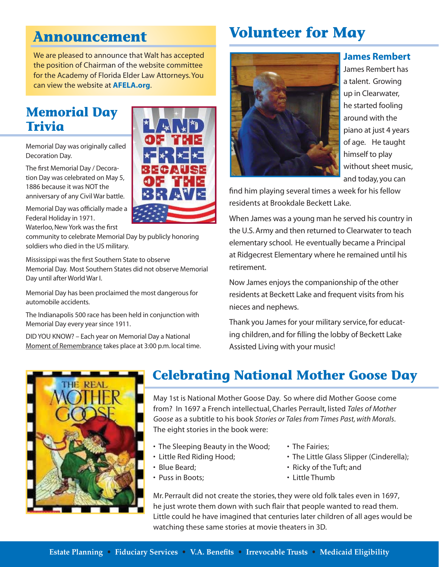## **Announcement**

We are pleased to announce that Walt has accepted the position of Chairman of the website committee for the Academy of Florida Elder Law Attorneys. You can view the website at **AFELA.org**.

## **Memorial Day Trivia**

Memorial Day was originally called Decoration Day.

The first Memorial Day / Decoration Day was celebrated on May 5, 1886 because it was NOT the anniversary of any Civil War battle.

Memorial Day was officially made a Federal Holiday in 1971.

Waterloo, New York was the first

community to celebrate Memorial Day by publicly honoring soldiers who died in the US military.

 Memorial Day. Most Southern States did not observe Memorial Mississippi was the first Southern State to observe Day until after World War I.

Memorial Day has been proclaimed the most dangerous for automobile accidents.

The Indianapolis 500 race has been held in conjunction with Memorial Day every year since 1911.

DID YOU KNOW? – Each year on Memorial Day a National Moment of Remembrance takes place at 3:00 p.m. local time.





James Rembert has a talent. Growing up in Clearwater, he started fooling around with the piano at just 4 years of age. He taught himself to play without sheet music, and today, you can

**James Rembert**

find him playing several times a week for his fellow residents at Brookdale Beckett Lake.

When James was a young man he served his country in the U.S. Army and then returned to Clearwater to teach elementary school. He eventually became a Principal at Ridgecrest Elementary where he remained until his retirement.

Now James enjoys the companionship of the other residents at Beckett Lake and frequent visits from his nieces and nephews.

Thank you James for your military service, for educating children, and for filling the lobby of Beckett Lake Assisted Living with your music!



## **Celebrating National Mother Goose Day**

May 1st is National Mother Goose Day. So where did Mother Goose come from? In 1697 a French intellectual, Charles Perrault, listed *Tales of Mother Goose* as a subtitle to his book *Stories or Tales from Times Past, with Morals*. The eight stories in the book were:

- The Sleeping Beauty in the Wood;
- Little Red Riding Hood;
- Blue Beard;
- Puss in Boots;
- The Fairies;
- The Little Glass Slipper (Cinderella);
- Ricky of the Tuft; and
- Little Thumb

Mr. Perrault did not create the stories, they were old folk tales even in 1697, he just wrote them down with such flair that people wanted to read them. Little could he have imagined that centuries later children of all ages would be watching these same stories at movie theaters in 3D.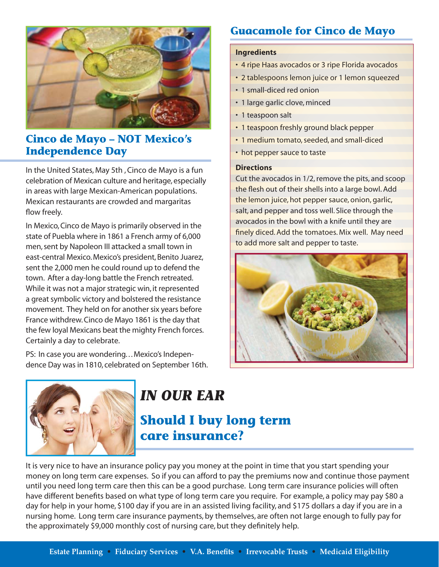

#### **Cinco de Mayo – NOT Mexico's Independence Day**

In the United States, May 5th , Cinco de Mayo is a fun celebration of Mexican culture and heritage, especially in areas with large Mexican-American populations. Mexican restaurants are crowded and margaritas flow freely.

In Mexico, Cinco de Mayo is primarily observed in the state of Puebla where in 1861 a French army of 6,000 men, sent by Napoleon III attacked a small town in east-central Mexico. Mexico's president, Benito Juarez, sent the 2,000 men he could round up to defend the town. After a day-long battle the French retreated. While it was not a major strategic win, it represented a great symbolic victory and bolstered the resistance movement. They held on for another six years before France withdrew. Cinco de Mayo 1861 is the day that the few loyal Mexicans beat the mighty French forces. Certainly a day to celebrate.

PS: In case you are wondering. . . Mexico's Independence Day was in 1810, celebrated on September 16th.

### **Guacamole for Cinco de Mayo**

#### **Ingredients**

- 4 ripe Haas avocados or 3 ripe Florida avocados
- 2 tablespoons lemon juice or 1 lemon squeezed
- 1 small-diced red onion
- 1 large garlic clove, minced
- 1 teaspoon salt
- 1 teaspoon freshly ground black pepper
- 1 medium tomato, seeded, and small-diced
- hot pepper sauce to taste

#### **Directions**

Cut the avocados in 1/2, remove the pits, and scoop the flesh out of their shells into a large bowl. Add the lemon juice, hot pepper sauce, onion, garlic, salt, and pepper and toss well. Slice through the avocados in the bowl with a knife until they are finely diced. Add the tomatoes. Mix well. May need to add more salt and pepper to taste.





## *IN OUR EAR*

## **Should I buy long term care insurance?**

It is very nice to have an insurance policy pay you money at the point in time that you start spending your money on long term care expenses. So if you can afford to pay the premiums now and continue those payment until you need long term care then this can be a good purchase. Long term care insurance policies will often have different benefits based on what type of long term care you require. For example, a policy may pay \$80 a day for help in your home, \$100 day if you are in an assisted living facility, and \$175 dollars a day if you are in a nursing home. Long term care insurance payments, by themselves, are often not large enough to fully pay for the approximately \$9,000 monthly cost of nursing care, but they definitely help.